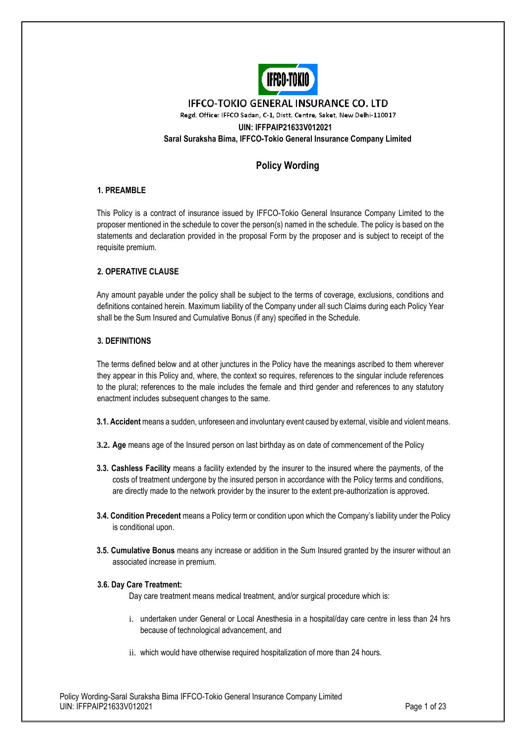

### **IFFCO-TOKIO GENERAL INSURANCE CO. LTD** Regd. Office: IFFCO Sadan, C-1, Distt. Centre, Saket, New Delhi-110017 **UIN: IFFPAIP21633V012021 Saral Suraksha Bima, IFFCO-Tokio General Insurance Company Limited**

### **Policy Wording**

### **1. PREAMBLE**

This Policy is a contract of insurance issued by IFFCO-Tokio General Insurance Company Limited to the proposer mentioned in the schedule to cover the person(s) named in the schedule. The policy is based on the statements and declaration provided in the proposal Form by the proposer and is subject to receipt of the requisite premium.

### **2. OPERATIVE CLAUSE**

Any amount payable under the policy shall be subject to the terms of coverage, exclusions, conditions and definitions contained herein. Maximum liability of the Company under all such Claims during each Policy Year shall be the Sum Insured and Cumulative Bonus (if any) specified in the Schedule.

### **3. DEFINITIONS**

The terms defined below and at other junctures in the Policy have the meanings ascribed to them wherever they appear in this Policy and, where, the context so requires, references to the singular include references to the plural; references to the male includes the female and third gender and references to any statutory enactment includes subsequent changes to the same.

- **3.1. Accident** means a sudden, unforeseen and involuntary event caused by external, visible and violent means.
- **3.2. Age** means age of the Insured person on last birthday as on date of commencement of the Policy
- **3.3. Cashless Facility** means a facility extended by the insurer to the insured where the payments, of the costs of treatment undergone by the insured person in accordance with the Policy terms and conditions, are directly made to the network provider by the insurer to the extent pre-authorization is approved.
- **3.4. Condition Precedent** means a Policy term or condition upon which the Company's liability under the Policy is conditional upon.
- **3.5. Cumulative Bonus** means any increase or addition in the Sum Insured granted by the insurer without an associated increase in premium.

### **3.6. Day Care Treatment:**

Day care treatment means medical treatment, and/or surgical procedure which is:

- i. undertaken under General or Local Anesthesia in a hospital/day care centre in less than 24 hrs because of technological advancement, and
- ii. which would have otherwise required hospitalization of more than 24 hours.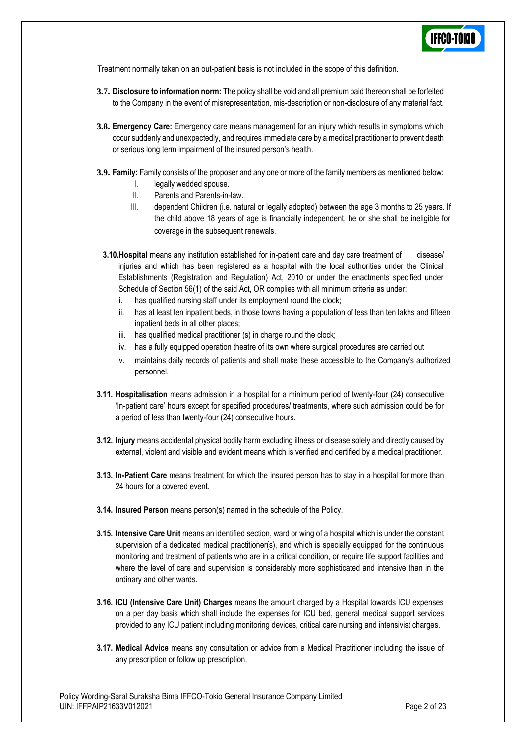

Treatment normally taken on an out-patient basis is not included in the scope of this definition.

- **3.7. Disclosure to information norm:** The policy shall be void and all premium paid thereon shall be forfeited to the Company in the event of misrepresentation, mis-description or non-disclosure of any material fact.
- **3.8. Emergency Care:** Emergency care means management for an injury which results in symptoms which occur suddenly and unexpectedly, and requires immediate care by a medical practitioner to prevent death or serious long term impairment of the insured person's health.
- **3.9. Family:** Family consists of the proposer and any one or more of the family members as mentioned below:
	- I. legally wedded spouse.
	- II. Parents and Parents-in-law.
	- III. dependent Children (i.e. natural or legally adopted) between the age 3 months to 25 years. If the child above 18 years of age is financially independent, he or she shall be ineligible for coverage in the subsequent renewals.
	- **3.10.Hospital** means any institution established for in-patient care and day care treatment of disease/ injuries and which has been registered as a hospital with the local authorities under the Clinical Establishments (Registration and Regulation) Act, 2010 or under the enactments specified under Schedule of Section 56(1) of the said Act, OR complies with all minimum criteria as under:
		- i. has qualified nursing staff under its employment round the clock;
		- ii. has at least ten inpatient beds, in those towns having a population of less than ten lakhs and fifteen inpatient beds in all other places;
		- iii. has qualified medical practitioner (s) in charge round the clock;
		- iv. has a fully equipped operation theatre of its own where surgical procedures are carried out
		- v. maintains daily records of patients and shall make these accessible to the Company's authorized personnel.
- **3.11. Hospitalisation** means admission in a hospital for a minimum period of twenty-four (24) consecutive 'In-patient care' hours except for specified procedures/ treatments, where such admission could be for a period of less than twenty-four (24) consecutive hours.
- **3.12. Injury** means accidental physical bodily harm excluding illness or disease solely and directly caused by external, violent and visible and evident means which is verified and certified by a medical practitioner.
- **3.13. In-Patient Care** means treatment for which the insured person has to stay in a hospital for more than 24 hours for a covered event.
- **3.14. Insured Person** means person(s) named in the schedule of the Policy.
- **3.15. Intensive Care Unit** means an identified section, ward or wing of a hospital which is under the constant supervision of a dedicated medical practitioner(s), and which is specially equipped for the continuous monitoring and treatment of patients who are in a critical condition, or require life support facilities and where the level of care and supervision is considerably more sophisticated and intensive than in the ordinary and other wards.
- **3.16. ICU (Intensive Care Unit) Charges** means the amount charged by a Hospital towards ICU expenses on a per day basis which shall include the expenses for ICU bed, general medical support services provided to any ICU patient including monitoring devices, critical care nursing and intensivist charges.
- **3.17. Medical Advice** means any consultation or advice from a Medical Practitioner including the issue of any prescription or follow up prescription.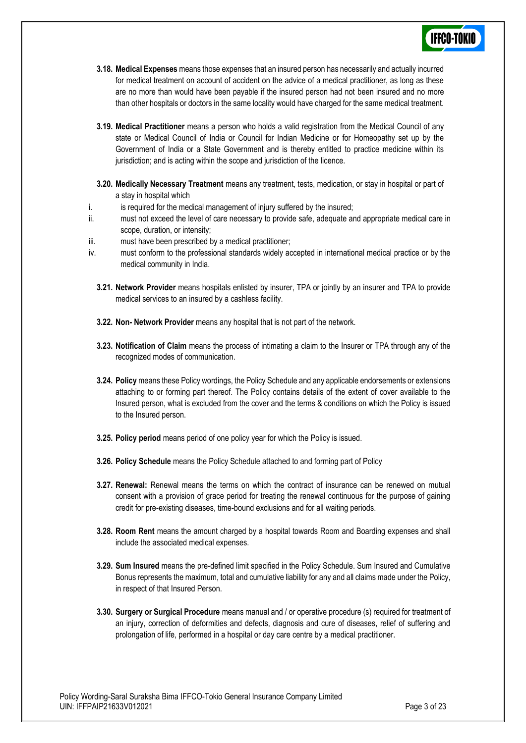- **3.18. Medical Expenses** means those expenses that an insured person has necessarily and actually incurred for medical treatment on account of accident on the advice of a medical practitioner, as long as these are no more than would have been payable if the insured person had not been insured and no more than other hospitals or doctors in the same locality would have charged for the same medical treatment.
- **3.19. Medical Practitioner** means a person who holds a valid registration from the Medical Council of any state or Medical Council of India or Council for Indian Medicine or for Homeopathy set up by the Government of India or a State Government and is thereby entitled to practice medicine within its jurisdiction; and is acting within the scope and jurisdiction of the licence.
- **3.20. Medically Necessary Treatment** means any treatment, tests, medication, or stay in hospital or part of a stay in hospital which
- i. is required for the medical management of injury suffered by the insured;
- ii. must not exceed the level of care necessary to provide safe, adequate and appropriate medical care in scope, duration, or intensity;
- iii. must have been prescribed by a medical practitioner;
- iv. must conform to the professional standards widely accepted in international medical practice or by the medical community in India.
	- **3.21. Network Provider** means hospitals enlisted by insurer, TPA or jointly by an insurer and TPA to provide medical services to an insured by a cashless facility.
	- **3.22. Non- Network Provider** means any hospital that is not part of the network*.*
	- **3.23. Notification of Claim** means the process of intimating a claim to the Insurer or TPA through any of the recognized modes of communication.
	- **3.24. Policy** means these Policy wordings, the Policy Schedule and any applicable endorsements or extensions attaching to or forming part thereof. The Policy contains details of the extent of cover available to the Insured person, what is excluded from the cover and the terms & conditions on which the Policy is issued to the Insured person.
	- **3.25. Policy period** means period of one policy year for which the Policy is issued.
	- **3.26. Policy Schedule** means the Policy Schedule attached to and forming part of Policy
	- **3.27. Renewal:** Renewal means the terms on which the contract of insurance can be renewed on mutual consent with a provision of grace period for treating the renewal continuous for the purpose of gaining credit for pre-existing diseases, time-bound exclusions and for all waiting periods.
	- **3.28. Room Rent** means the amount charged by a hospital towards Room and Boarding expenses and shall include the associated medical expenses.
	- **3.29. Sum Insured** means the pre-defined limit specified in the Policy Schedule. Sum Insured and Cumulative Bonus represents the maximum, total and cumulative liability for any and all claims made under the Policy, in respect of that Insured Person.
	- **3.30. Surgery or Surgical Procedure** means manual and / or operative procedure (s) required for treatment of an injury, correction of deformities and defects, diagnosis and cure of diseases, relief of suffering and prolongation of life, performed in a hospital or day care centre by a medical practitioner.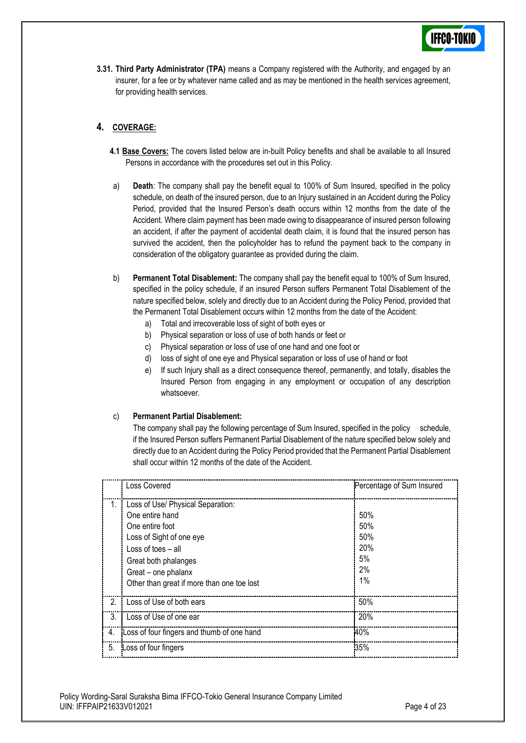**3.31. Third Party Administrator (TPA)** means a Company registered with the Authority, and engaged by an insurer, for a fee or by whatever name called and as may be mentioned in the health services agreement, for providing health services.

### **4. COVERAGE:**

- **4.1 Base Covers:** The covers listed below are in-built Policy benefits and shall be available to all Insured Persons in accordance with the procedures set out in this Policy.
- a) **Death**: The company shall pay the benefit equal to 100% of Sum Insured, specified in the policy schedule, on death of the insured person, due to an Injury sustained in an Accident during the Policy Period, provided that the Insured Person's death occurs within 12 months from the date of the Accident. Where claim payment has been made owing to disappearance of insured person following an accident, if after the payment of accidental death claim, it is found that the insured person has survived the accident, then the policyholder has to refund the payment back to the company in consideration of the obligatory guarantee as provided during the claim.
- b) **Permanent Total Disablement:** The company shall pay the benefit equal to 100% of Sum Insured, specified in the policy schedule, if an insured Person suffers Permanent Total Disablement of the nature specified below, solely and directly due to an Accident during the Policy Period, provided that the Permanent Total Disablement occurs within 12 months from the date of the Accident:
	- a) Total and irrecoverable loss of sight of both eyes or
	- b) Physical separation or loss of use of both hands or feet or
	- c) Physical separation or loss of use of one hand and one foot or
	- d) loss of sight of one eye and Physical separation or loss of use of hand or foot
	- e) If such Injury shall as a direct consequence thereof, permanently, and totally, disables the Insured Person from engaging in any employment or occupation of any description whatsoever.

#### c) **Permanent Partial Disablement:**

The company shall pay the following percentage of Sum Insured, specified in the policy schedule, if the Insured Person suffers Permanent Partial Disablement of the nature specified below solely and directly due to an Accident during the Policy Period provided that the Permanent Partial Disablement shall occur within 12 months of the date of the Accident.

|               | <b>Loss Covered</b>                                                                                                                                 | Percentage of Sum Insured      |
|---------------|-----------------------------------------------------------------------------------------------------------------------------------------------------|--------------------------------|
| 1.            | Loss of Use/ Physical Separation:<br>One entire hand<br>One entire foot<br>Loss of Sight of one eye<br>$Loss of toes - all$<br>Great both phalanges | 50%<br>50%<br>50%<br>20%<br>5% |
|               | Great – one phalanx<br>Other than great if more than one toe lost                                                                                   | 2%<br>1%                       |
| $\mathcal{P}$ | Loss of Use of both ears                                                                                                                            | 50%                            |
| 3.            | Loss of Use of one ear                                                                                                                              | 20%                            |
| 4.            | Loss of four fingers and thumb of one hand                                                                                                          | 40%                            |
| 5.            | Loss of four fingers                                                                                                                                | 35%                            |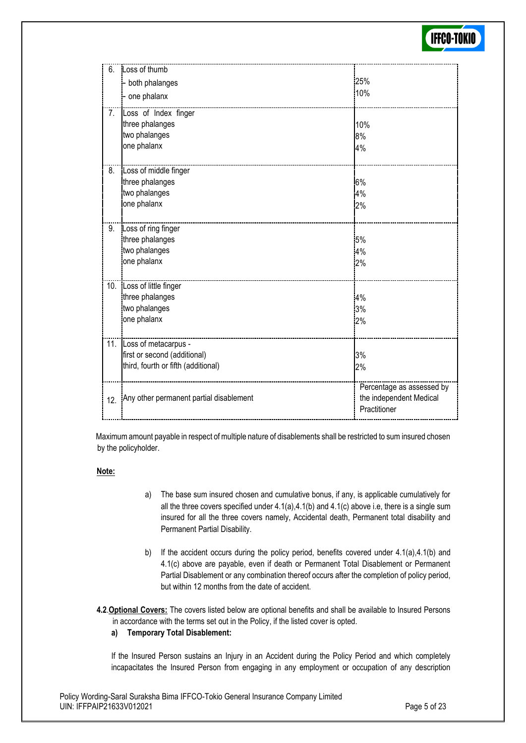

| 6.               | Loss of thumb<br>both phalanges<br>one phalanx                                                  | 25%<br>10%                                                           |
|------------------|-------------------------------------------------------------------------------------------------|----------------------------------------------------------------------|
| 7.               | Loss of Index finger<br>three phalanges<br>two phalanges<br>one phalanx                         | 10%<br>8%<br>4%                                                      |
| $\overline{8}$ . | Loss of middle finger<br>three phalanges<br>two phalanges<br>one phalanx                        | 6%<br>4%<br>2%                                                       |
| 9.               | Loss of ring finger<br>three phalanges<br>two phalanges<br>one phalanx                          | 5%<br>4%<br>2%                                                       |
|                  | 10. Loss of little finger<br>three phalanges<br>two phalanges<br>one phalanx                    | 4%<br>3%<br>2%                                                       |
|                  | 11. Loss of metacarpus -<br>first or second (additional)<br>third, fourth or fifth (additional) | 3%<br>2%                                                             |
| 12.              | Any other permanent partial disablement                                                         | Percentage as assessed by<br>the independent Medical<br>Practitioner |

 Maximum amount payable in respect of multiple nature of disablements shall be restricted to sum insured chosen by the policyholder.

#### **Note:**

- a) The base sum insured chosen and cumulative bonus, if any, is applicable cumulatively for all the three covers specified under 4.1(a),4.1(b) and 4.1(c) above i.e, there is a single sum insured for all the three covers namely, Accidental death, Permanent total disability and Permanent Partial Disability.
- b) If the accident occurs during the policy period, benefits covered under 4.1(a),4.1(b) and 4.1(c) above are payable, even if death or Permanent Total Disablement or Permanent Partial Disablement or any combination thereof occurs after the completion of policy period, but within 12 months from the date of accident.
- **4.2**.**Optional Covers:** The covers listed below are optional benefits and shall be available to Insured Persons in accordance with the terms set out in the Policy, if the listed cover is opted.

#### **a) Temporary Total Disablement:**

If the Insured Person sustains an Injury in an Accident during the Policy Period and which completely incapacitates the Insured Person from engaging in any employment or occupation of any description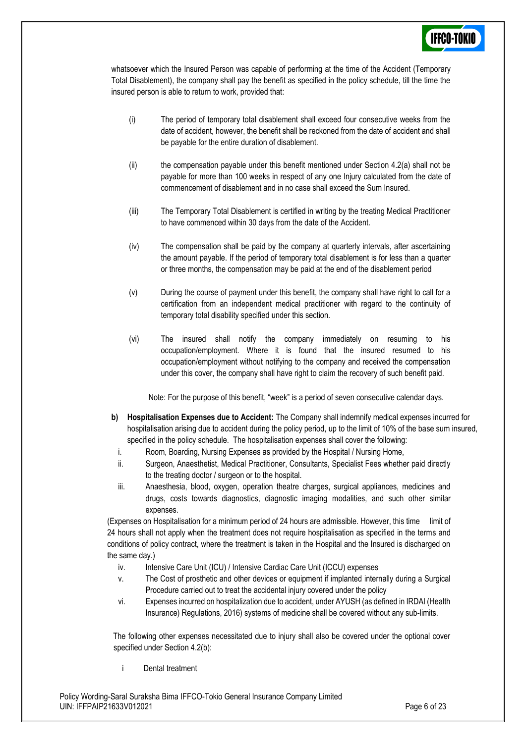whatsoever which the Insured Person was capable of performing at the time of the Accident (Temporary Total Disablement), the company shall pay the benefit as specified in the policy schedule, till the time the insured person is able to return to work, provided that:

- (i) The period of temporary total disablement shall exceed four consecutive weeks from the date of accident, however, the benefit shall be reckoned from the date of accident and shall be payable for the entire duration of disablement.
- (ii) the compensation payable under this benefit mentioned under Section  $4.2(a)$  shall not be payable for more than 100 weeks in respect of any one Injury calculated from the date of commencement of disablement and in no case shall exceed the Sum Insured.
- (iii) The Temporary Total Disablement is certified in writing by the treating Medical Practitioner to have commenced within 30 days from the date of the Accident.
- (iv) The compensation shall be paid by the company at quarterly intervals, after ascertaining the amount payable. If the period of temporary total disablement is for less than a quarter or three months, the compensation may be paid at the end of the disablement period
- (v) During the course of payment under this benefit, the company shall have right to call for a certification from an independent medical practitioner with regard to the continuity of temporary total disability specified under this section.
- (vi) The insured shall notify the company immediately on resuming to his occupation/employment. Where it is found that the insured resumed to his occupation/employment without notifying to the company and received the compensation under this cover, the company shall have right to claim the recovery of such benefit paid.

Note: For the purpose of this benefit, "week" is a period of seven consecutive calendar days.

- **b) Hospitalisation Expenses due to Accident:** The Company shall indemnify medical expenses incurred for hospitalisation arising due to accident during the policy period, up to the limit of 10% of the base sum insured, specified in the policy schedule. The hospitalisation expenses shall cover the following:
	- i. Room, Boarding, Nursing Expenses as provided by the Hospital / Nursing Home,
	- ii. Surgeon, Anaesthetist, Medical Practitioner, Consultants, Specialist Fees whether paid directly to the treating doctor / surgeon or to the hospital.
	- iii. Anaesthesia, blood, oxygen, operation theatre charges, surgical appliances, medicines and drugs, costs towards diagnostics, diagnostic imaging modalities, and such other similar expenses.

(Expenses on Hospitalisation for a minimum period of 24 hours are admissible. However, this time limit of 24 hours shall not apply when the treatment does not require hospitalisation as specified in the terms and conditions of policy contract, where the treatment is taken in the Hospital and the Insured is discharged on the same day.)

- iv. Intensive Care Unit (ICU) / Intensive Cardiac Care Unit (ICCU) expenses
- v. The Cost of prosthetic and other devices or equipment if implanted internally during a Surgical Procedure carried out to treat the accidental injury covered under the policy
- vi. Expenses incurred on hospitalization due to accident, under AYUSH (as defined in IRDAI (Health Insurance) Regulations, 2016) systems of medicine shall be covered without any sub-limits.

The following other expenses necessitated due to injury shall also be covered under the optional cover specified under Section 4.2(b):

Dental treatment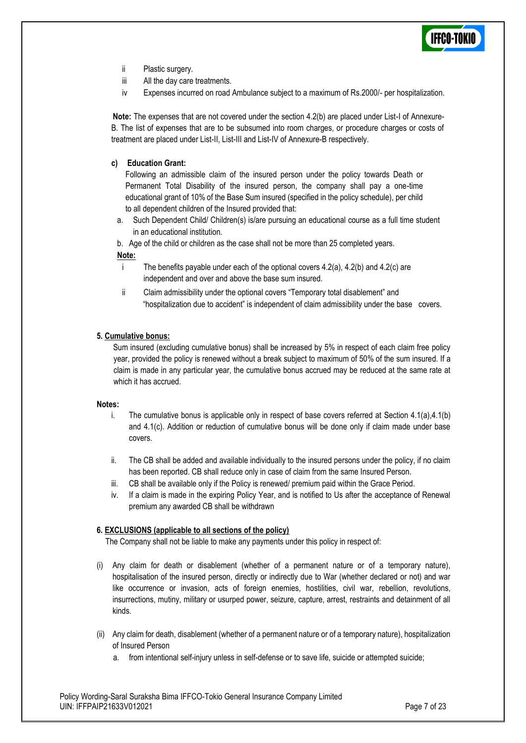

- ii Plastic surgery.
- iii All the day care treatments.
- iv Expenses incurred on road Ambulance subject to a maximum of Rs.2000/- per hospitalization.

**Note:** The expenses that are not covered under the section 4.2(b) are placed under List-I of Annexure-B. The list of expenses that are to be subsumed into room charges, or procedure charges or costs of treatment are placed under List-II, List-III and List-IV of Annexure-B respectively.

#### **c) Education Grant:**

Following an admissible claim of the insured person under the policy towards Death or Permanent Total Disability of the insured person, the company shall pay a one-time educational grant of 10% of the Base Sum insured (specified in the policy schedule), per child to all dependent children of the Insured provided that:

a. Such Dependent Child/ Children(s) is/are pursuing an educational course as a full time student in an educational institution.

b. Age of the child or children as the case shall not be more than 25 completed years.

#### **Note:**

- i The benefits payable under each of the optional covers  $4.2(a)$ ,  $4.2(b)$  and  $4.2(c)$  are independent and over and above the base sum insured.
- ii Claim admissibility under the optional covers "Temporary total disablement" and "hospitalization due to accident" is independent of claim admissibility under the base covers.

#### **5. Cumulative bonus:**

Sum insured (excluding cumulative bonus) shall be increased by 5% in respect of each claim free policy year, provided the policy is renewed without a break subject to maximum of 50% of the sum insured. If a claim is made in any particular year, the cumulative bonus accrued may be reduced at the same rate at which it has accrued.

#### **Notes:**

- i. The cumulative bonus is applicable only in respect of base covers referred at Section  $4.1(a)$ , $4.1(b)$ and 4.1(c). Addition or reduction of cumulative bonus will be done only if claim made under base covers.
- ii. The CB shall be added and available individually to the insured persons under the policy, if no claim has been reported. CB shall reduce only in case of claim from the same Insured Person.
- iii. CB shall be available only if the Policy is renewed/ premium paid within the Grace Period.
- iv. If a claim is made in the expiring Policy Year, and is notified to Us after the acceptance of Renewal premium any awarded CB shall be withdrawn

### **6. EXCLUSIONS (applicable to all sections of the policy)**

The Company shall not be liable to make any payments under this policy in respect of:

- (i) Any claim for death or disablement (whether of a permanent nature or of a temporary nature), hospitalisation of the insured person, directly or indirectly due to War (whether declared or not) and war like occurrence or invasion, acts of foreign enemies, hostilities, civil war, rebellion, revolutions, insurrections, mutiny, military or usurped power, seizure, capture, arrest, restraints and detainment of all kinds.
- (ii) Any claim for death, disablement (whether of a permanent nature or of a temporary nature), hospitalization of Insured Person
	- a. from intentional self-injury unless in self-defense or to save life, suicide or attempted suicide;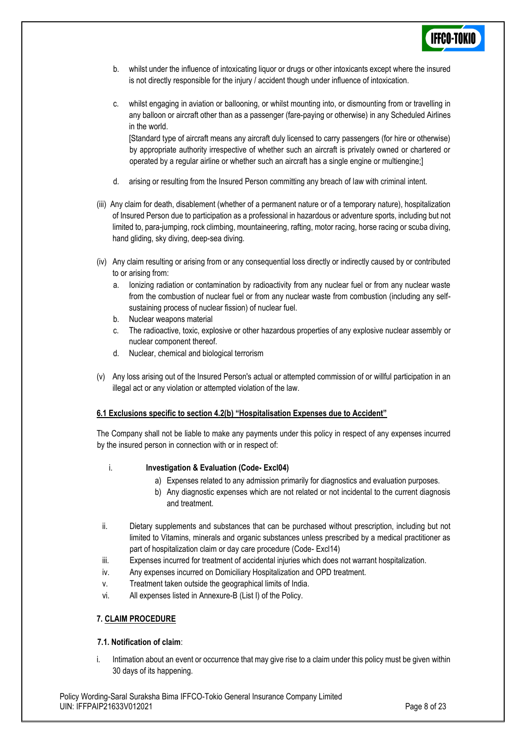

- b. whilst under the influence of intoxicating liquor or drugs or other intoxicants except where the insured is not directly responsible for the injury / accident though under influence of intoxication.
- c. whilst engaging in aviation or ballooning, or whilst mounting into, or dismounting from or travelling in any balloon or aircraft other than as a passenger (fare-paying or otherwise) in any Scheduled Airlines in the world.

[Standard type of aircraft means any aircraft duly licensed to carry passengers (for hire or otherwise) by appropriate authority irrespective of whether such an aircraft is privately owned or chartered or operated by a regular airline or whether such an aircraft has a single engine or multiengine;]

- d. arising or resulting from the Insured Person committing any breach of law with criminal intent.
- (iii) Any claim for death, disablement (whether of a permanent nature or of a temporary nature), hospitalization of Insured Person due to participation as a professional in hazardous or adventure sports, including but not limited to, para-jumping, rock climbing, mountaineering, rafting, motor racing, horse racing or scuba diving, hand gliding, sky diving, deep-sea diving.
- (iv) Any claim resulting or arising from or any consequential loss directly or indirectly caused by or contributed to or arising from:
	- a. Ionizing radiation or contamination by radioactivity from any nuclear fuel or from any nuclear waste from the combustion of nuclear fuel or from any nuclear waste from combustion (including any selfsustaining process of nuclear fission) of nuclear fuel.
	- b. Nuclear weapons material
	- c. The radioactive, toxic, explosive or other hazardous properties of any explosive nuclear assembly or nuclear component thereof.
	- d. Nuclear, chemical and biological terrorism
- (v) Any loss arising out of the Insured Person's actual or attempted commission of or willful participation in an illegal act or any violation or attempted violation of the law.

#### **6.1 Exclusions specific to section 4.2(b) "Hospitalisation Expenses due to Accident"**

The Company shall not be liable to make any payments under this policy in respect of any expenses incurred by the insured person in connection with or in respect of:

#### i. **Investigation & Evaluation (Code- Excl04)**

- a) Expenses related to any admission primarily for diagnostics and evaluation purposes.
- b) Any diagnostic expenses which are not related or not incidental to the current diagnosis and treatment.
- ii. Dietary supplements and substances that can be purchased without prescription, including but not limited to Vitamins, minerals and organic substances unless prescribed by a medical practitioner as part of hospitalization claim or day care procedure (Code- Excl14)
- iii. Expenses incurred for treatment of accidental injuries which does not warrant hospitalization.
- iv. Any expenses incurred on Domiciliary Hospitalization and OPD treatment.
- v. Treatment taken outside the geographical limits of India.
- vi. All expenses listed in Annexure-B (List I) of the Policy.

### **7. CLAIM PROCEDURE**

### **7.1. Notification of claim**:

i. Intimation about an event or occurrence that may give rise to a claim under this policy must be given within 30 days of its happening.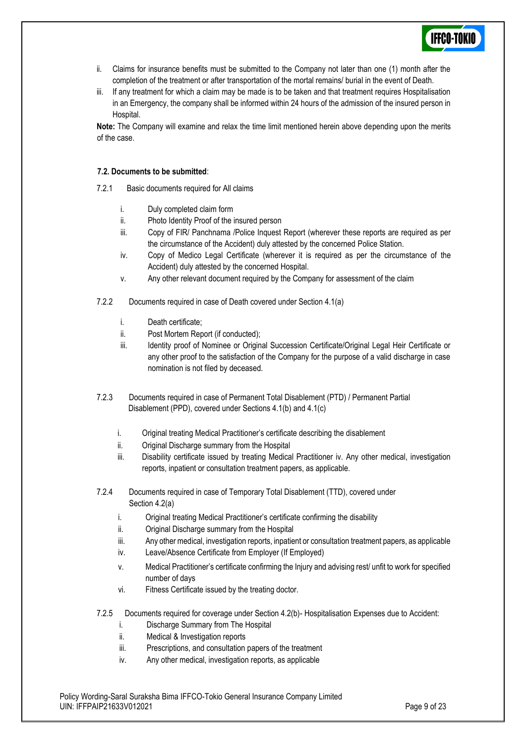

- ii. Claims for insurance benefits must be submitted to the Company not later than one (1) month after the completion of the treatment or after transportation of the mortal remains/ burial in the event of Death.
- iii. If any treatment for which a claim may be made is to be taken and that treatment requires Hospitalisation in an Emergency, the company shall be informed within 24 hours of the admission of the insured person in Hospital.

**Note:** The Company will examine and relax the time limit mentioned herein above depending upon the merits of the case.

#### **7.2. Documents to be submitted**:

7.2.1 Basic documents required for All claims

- i. Duly completed claim form
- ii. Photo Identity Proof of the insured person
- iii. Copy of FIR/ Panchnama /Police Inquest Report (wherever these reports are required as per the circumstance of the Accident) duly attested by the concerned Police Station.
- iv. Copy of Medico Legal Certificate (wherever it is required as per the circumstance of the Accident) duly attested by the concerned Hospital.
- v. Any other relevant document required by the Company for assessment of the claim

7.2.2 Documents required in case of Death covered under Section 4.1(a)

- i. Death certificate;
- ii. Post Mortem Report (if conducted);
- iii. Identity proof of Nominee or Original Succession Certificate/Original Legal Heir Certificate or any other proof to the satisfaction of the Company for the purpose of a valid discharge in case nomination is not filed by deceased.
- 7.2.3 Documents required in case of Permanent Total Disablement (PTD) / Permanent Partial Disablement (PPD), covered under Sections 4.1(b) and 4.1(c)
	- i. Original treating Medical Practitioner's certificate describing the disablement
	- ii. Original Discharge summary from the Hospital
	- iii. Disability certificate issued by treating Medical Practitioner iv. Any other medical, investigation reports, inpatient or consultation treatment papers, as applicable.
- 7.2.4 Documents required in case of Temporary Total Disablement (TTD), covered under Section 4.2(a)
	- i. Original treating Medical Practitioner's certificate confirming the disability
	- ii. Original Discharge summary from the Hospital
	- iii. Any other medical, investigation reports, inpatient or consultation treatment papers, as applicable
	- iv. Leave/Absence Certificate from Employer (If Employed)
	- v. Medical Practitioner's certificate confirming the Injury and advising rest/ unfit to work for specified number of days
	- vi. Fitness Certificate issued by the treating doctor.
- 7.2.5 Documents required for coverage under Section 4.2(b)- Hospitalisation Expenses due to Accident:
	- i. Discharge Summary from The Hospital
	- ii. Medical & Investigation reports
	- iii. Prescriptions, and consultation papers of the treatment
	- iv. Any other medical, investigation reports, as applicable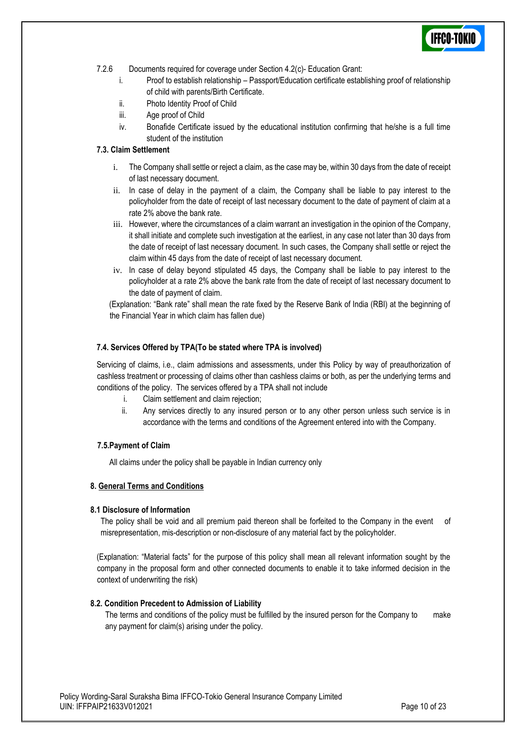- 7.2.6 Documents required for coverage under Section 4.2(c)- Education Grant:
	- i. Proof to establish relationship Passport/Education certificate establishing proof of relationship of child with parents/Birth Certificate.
	- ii. Photo Identity Proof of Child
	- iii. Age proof of Child
	- iv. Bonafide Certificate issued by the educational institution confirming that he/she is a full time student of the institution

### **7.3. Claim Settlement**

- i. The Company shall settle or reject a claim, as the case may be, within 30 days from the date of receipt of last necessary document.
- ii. In case of delay in the payment of a claim, the Company shall be liable to pay interest to the policyholder from the date of receipt of last necessary document to the date of payment of claim at a rate 2% above the bank rate.
- iii. However, where the circumstances of a claim warrant an investigation in the opinion of the Company, it shall initiate and complete such investigation at the earliest, in any case not later than 30 days from the date of receipt of last necessary document. In such cases, the Company shall settle or reject the claim within 45 days from the date of receipt of last necessary document.
- iv. In case of delay beyond stipulated 45 days, the Company shall be liable to pay interest to the policyholder at a rate 2% above the bank rate from the date of receipt of last necessary document to the date of payment of claim.

(Explanation: "Bank rate" shall mean the rate fixed by the Reserve Bank of India (RBI) at the beginning of the Financial Year in which claim has fallen due)

#### **7.4. Services Offered by TPA(To be stated where TPA is involved)**

Servicing of claims, i.e., claim admissions and assessments, under this Policy by way of preauthorization of cashless treatment or processing of claims other than cashless claims or both, as per the underlying terms and conditions of the policy. The services offered by a TPA shall not include

- i. Claim settlement and claim rejection;
- ii. Any services directly to any insured person or to any other person unless such service is in accordance with the terms and conditions of the Agreement entered into with the Company.

### **7.5.Payment of Claim**

All claims under the policy shall be payable in Indian currency only

#### **8. General Terms and Conditions**

#### **8.1 Disclosure of Information**

The policy shall be void and all premium paid thereon shall be forfeited to the Company in the event of misrepresentation, mis-description or non-disclosure of any material fact by the policyholder.

(Explanation: "Material facts" for the purpose of this policy shall mean all relevant information sought by the company in the proposal form and other connected documents to enable it to take informed decision in the context of underwriting the risk)

#### **8.2. Condition Precedent to Admission of Liability**

The terms and conditions of the policy must be fulfilled by the insured person for the Company to make any payment for claim(s) arising under the policy.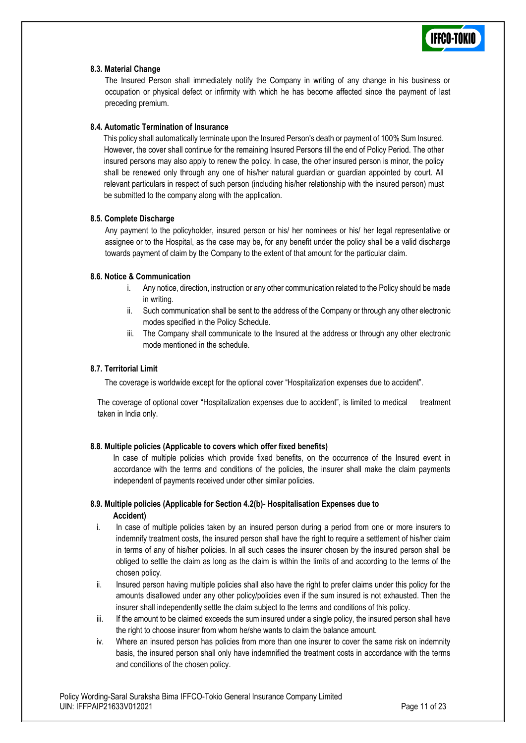

#### **8.3. Material Change**

The Insured Person shall immediately notify the Company in writing of any change in his business or occupation or physical defect or infirmity with which he has become affected since the payment of last preceding premium.

#### **8.4. Automatic Termination of Insurance**

This policy shall automatically terminate upon the Insured Person's death or payment of 100% Sum Insured. However, the cover shall continue for the remaining Insured Persons till the end of Policy Period. The other insured persons may also apply to renew the policy. In case, the other insured person is minor, the policy shall be renewed only through any one of his/her natural guardian or guardian appointed by court. All relevant particulars in respect of such person (including his/her relationship with the insured person) must be submitted to the company along with the application.

#### **8.5. Complete Discharge**

Any payment to the policyholder, insured person or his/ her nominees or his/ her legal representative or assignee or to the Hospital, as the case may be, for any benefit under the policy shall be a valid discharge towards payment of claim by the Company to the extent of that amount for the particular claim.

### **8.6. Notice & Communication**

- i. Any notice, direction, instruction or any other communication related to the Policy should be made in writing.
- ii. Such communication shall be sent to the address of the Company or through any other electronic modes specified in the Policy Schedule.
- iii. The Company shall communicate to the Insured at the address or through any other electronic mode mentioned in the schedule.

#### **8.7. Territorial Limit**

The coverage is worldwide except for the optional cover "Hospitalization expenses due to accident".

The coverage of optional cover "Hospitalization expenses due to accident", is limited to medical treatment taken in India only.

### **8.8. Multiple policies (Applicable to covers which offer fixed benefits)**

In case of multiple policies which provide fixed benefits, on the occurrence of the Insured event in accordance with the terms and conditions of the policies, the insurer shall make the claim payments independent of payments received under other similar policies.

#### **8.9. Multiple policies (Applicable for Section 4.2(b)- Hospitalisation Expenses due to Accident)**

- i. In case of multiple policies taken by an insured person during a period from one or more insurers to indemnify treatment costs, the insured person shall have the right to require a settlement of his/her claim in terms of any of his/her policies. In all such cases the insurer chosen by the insured person shall be obliged to settle the claim as long as the claim is within the limits of and according to the terms of the chosen policy.
- ii. Insured person having multiple policies shall also have the right to prefer claims under this policy for the amounts disallowed under any other policy/policies even if the sum insured is not exhausted. Then the insurer shall independently settle the claim subject to the terms and conditions of this policy.
- iii. If the amount to be claimed exceeds the sum insured under a single policy, the insured person shall have the right to choose insurer from whom he/she wants to claim the balance amount.
- iv. Where an insured person has policies from more than one insurer to cover the same risk on indemnity basis, the insured person shall only have indemnified the treatment costs in accordance with the terms and conditions of the chosen policy.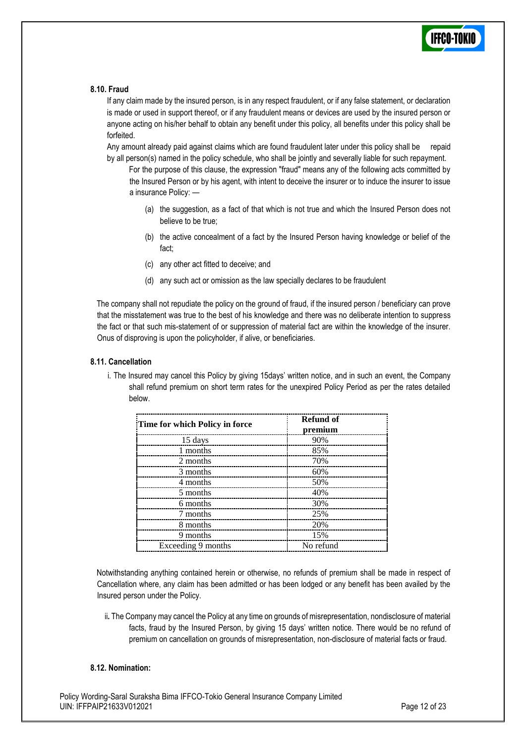

#### **8.10. Fraud**

If any claim made by the insured person, is in any respect fraudulent, or if any false statement, or declaration is made or used in support thereof, or if any fraudulent means or devices are used by the insured person or anyone acting on his/her behalf to obtain any benefit under this policy, all benefits under this policy shall be forfeited.

Any amount already paid against claims which are found fraudulent later under this policy shall be repaid by all person(s) named in the policy schedule, who shall be jointly and severally liable for such repayment.

For the purpose of this clause, the expression "fraud" means any of the following acts committed by the Insured Person or by his agent, with intent to deceive the insurer or to induce the insurer to issue a insurance Policy: —

- (a) the suggestion, as a fact of that which is not true and which the Insured Person does not believe to be true;
- (b) the active concealment of a fact by the Insured Person having knowledge or belief of the fact;
- (c) any other act fitted to deceive; and
- (d) any such act or omission as the law specially declares to be fraudulent

The company shall not repudiate the policy on the ground of fraud, if the insured person / beneficiary can prove that the misstatement was true to the best of his knowledge and there was no deliberate intention to suppress the fact or that such mis-statement of or suppression of material fact are within the knowledge of the insurer. Onus of disproving is upon the policyholder, if alive, or beneficiaries.

#### **8.11. Cancellation**

i. The Insured may cancel this Policy by giving 15days' written notice, and in such an event, the Company shall refund premium on short term rates for the unexpired Policy Period as per the rates detailed below.

| Time for which Policy in force | <b>Refund of</b><br>premium |
|--------------------------------|-----------------------------|
| 15 days                        | 90%                         |
| 1 months                       | 85%                         |
| 2 months                       | 70%                         |
| 3 months                       | 60%                         |
| 4 months                       | 50%                         |
| 5 months                       | 40%                         |
| 6 months                       | 30%                         |
| 7 months                       | 25%                         |
| 8 months                       | 20%                         |
| 9 months                       | 15%                         |
| Exceeding 9 months             | No refund                   |

Notwithstanding anything contained herein or otherwise, no refunds of premium shall be made in respect of Cancellation where, any claim has been admitted or has been lodged or any benefit has been availed by the Insured person under the Policy.

ii**.** The Company may cancel the Policy at any time on grounds of misrepresentation, nondisclosure of material facts, fraud by the Insured Person, by giving 15 days' written notice. There would be no refund of premium on cancellation on grounds of misrepresentation, non-disclosure of material facts or fraud.

#### **8.12. Nomination:**

Policy Wording-Saral Suraksha Bima IFFCO-Tokio General Insurance Company Limited UIN: IFFPAIP21633V012021 Page 12 of 23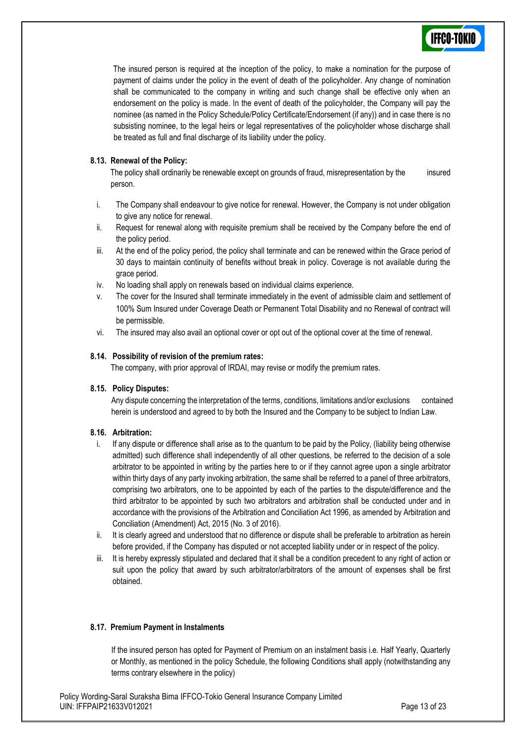

The insured person is required at the inception of the policy, to make a nomination for the purpose of payment of claims under the policy in the event of death of the policyholder. Any change of nomination shall be communicated to the company in writing and such change shall be effective only when an endorsement on the policy is made. In the event of death of the policyholder, the Company will pay the nominee (as named in the Policy Schedule/Policy Certificate/Endorsement (if any)) and in case there is no subsisting nominee, to the legal heirs or legal representatives of the policyholder whose discharge shall be treated as full and final discharge of its liability under the policy.

#### **8.13. Renewal of the Policy:**

The policy shall ordinarily be renewable except on grounds of fraud, misrepresentation by the insured person.

- i. The Company shall endeavour to give notice for renewal. However, the Company is not under obligation to give any notice for renewal.
- ii. Request for renewal along with requisite premium shall be received by the Company before the end of the policy period.
- iii. At the end of the policy period, the policy shall terminate and can be renewed within the Grace period of 30 days to maintain continuity of benefits without break in policy. Coverage is not available during the grace period.
- iv. No loading shall apply on renewals based on individual claims experience.
- v. The cover for the Insured shall terminate immediately in the event of admissible claim and settlement of 100% Sum Insured under Coverage Death or Permanent Total Disability and no Renewal of contract will be permissible.
- vi. The insured may also avail an optional cover or opt out of the optional cover at the time of renewal.

#### **8.14. Possibility of revision of the premium rates:**

The company, with prior approval of IRDAI, may revise or modify the premium rates.

### **8.15. Policy Disputes:**

Any dispute concerning the interpretation of the terms, conditions, limitations and/or exclusions contained herein is understood and agreed to by both the Insured and the Company to be subject to Indian Law.

### **8.16. Arbitration:**

- i. If any dispute or difference shall arise as to the quantum to be paid by the Policy, (liability being otherwise admitted) such difference shall independently of all other questions, be referred to the decision of a sole arbitrator to be appointed in writing by the parties here to or if they cannot agree upon a single arbitrator within thirty days of any party invoking arbitration, the same shall be referred to a panel of three arbitrators, comprising two arbitrators, one to be appointed by each of the parties to the dispute/difference and the third arbitrator to be appointed by such two arbitrators and arbitration shall be conducted under and in accordance with the provisions of the Arbitration and Conciliation Act 1996, as amended by Arbitration and Conciliation (Amendment) Act, 2015 (No. 3 of 2016).
- ii. It is clearly agreed and understood that no difference or dispute shall be preferable to arbitration as herein before provided, if the Company has disputed or not accepted liability under or in respect of the policy.
- iii. It is hereby expressly stipulated and declared that it shall be a condition precedent to any right of action or suit upon the policy that award by such arbitrator/arbitrators of the amount of expenses shall be first obtained.

#### **8.17. Premium Payment in Instalments**

If the insured person has opted for Payment of Premium on an instalment basis i.e. Half Yearly, Quarterly or Monthly, as mentioned in the policy Schedule, the following Conditions shall apply (notwithstanding any terms contrary elsewhere in the policy)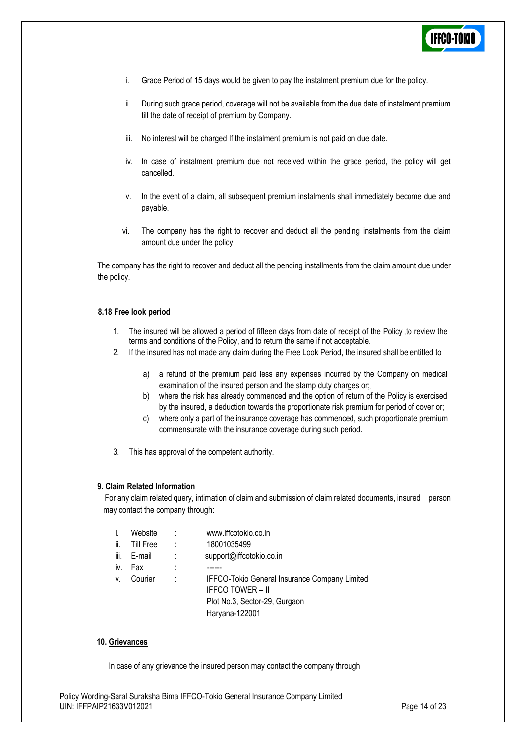

- i. Grace Period of 15 days would be given to pay the instalment premium due for the policy.
- ii. During such grace period, coverage will not be available from the due date of instalment premium till the date of receipt of premium by Company.
- iii. No interest will be charged If the instalment premium is not paid on due date.
- iv. In case of instalment premium due not received within the grace period, the policy will get cancelled.
- v. In the event of a claim, all subsequent premium instalments shall immediately become due and payable.
- vi. The company has the right to recover and deduct all the pending instalments from the claim amount due under the policy.

The company has the right to recover and deduct all the pending installments from the claim amount due under the policy.

#### **8.18 Free look period**

- 1. The insured will be allowed a period of fifteen days from date of receipt of the Policy to review the terms and conditions of the Policy, and to return the same if not acceptable.
- 2. If the insured has not made any claim during the Free Look Period, the insured shall be entitled to
	- a) a refund of the premium paid less any expenses incurred by the Company on medical examination of the insured person and the stamp duty charges or;
	- b) where the risk has already commenced and the option of return of the Policy is exercised by the insured, a deduction towards the proportionate risk premium for period of cover or;
	- c) where only a part of the insurance coverage has commenced, such proportionate premium commensurate with the insurance coverage during such period.
- 3. This has approval of the competent authority.

#### **9. Claim Related Information**

For any claim related query, intimation of claim and submission of claim related documents, insured person may contact the company through:

|      | Website          |   | www.iffcotokio.co.in                                                                                                        |
|------|------------------|---|-----------------------------------------------------------------------------------------------------------------------------|
| ii.  | <b>Till Free</b> | ÷ | 18001035499                                                                                                                 |
| iii. | E-mail           | ÷ | support@iffcotokio.co.in                                                                                                    |
| iv.  | Fax              | : |                                                                                                                             |
| V.   | Courier          | t | IFFCO-Tokio General Insurance Company Limited<br><b>IFFCO TOWER - II</b><br>Plot No.3, Sector-29, Gurgaon<br>Haryana-122001 |

#### **10. Grievances**

In case of any grievance the insured person may contact the company through

Policy Wording-Saral Suraksha Bima IFFCO-Tokio General Insurance Company Limited UIN: IFFPAIP21633V012021 Page 14 of 23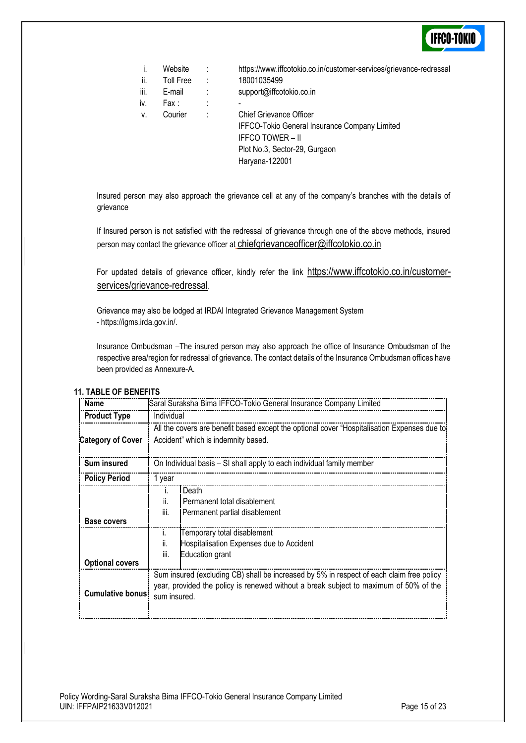| İ.   | Website   | ÷ | https://www.iffcotokio.co.in/customer-services/grievance-redressal |
|------|-----------|---|--------------------------------------------------------------------|
| ii.  | Toll Free | ÷ | 18001035499                                                        |
| iii. | E-mail    | ÷ | support@iffcotokio.co.in                                           |
| iv.  | Fax :     | ٠ |                                                                    |
| V.   | Courier   | ÷ | <b>Chief Grievance Officer</b>                                     |
|      |           |   | IFFCO-Tokio General Insurance Company Limited                      |
|      |           |   | <b>IFFCO TOWER - II</b>                                            |

Plot No.3, Sector-29, Gurgaon

Insured person may also approach the grievance cell at any of the company's branches with the details of grievance

Haryana-122001

If Insured person is not satisfied with the redressal of grievance through one of the above methods, insured person may contact the grievance officer at [chiefgrievanceofficer@iffcotokio.co.in](mailto:chiefgrievanceofficer@iffcotokio.co.in)

For updated details of grievance officer, kindly refer the link [https://www.iffcotokio.co.in/customer](https://www.iffcotokio.co.in/customer-services/grievance-redressal)[services/grievance-redressal](https://www.iffcotokio.co.in/customer-services/grievance-redressal).

Grievance may also be lodged at IRDAI Integrated Grievance Management System - [https://igms.irda.gov.in/.](https://igms.irda.gov.in/)

Insurance Ombudsman –The insured person may also approach the office of Insurance Ombudsman of the respective area/region for redressal of grievance. The contact details of the Insurance Ombudsman offices have been provided as Annexure-A.

#### **11. TABLE OF BENEFITS**

| Name                     | Saral Suraksha Bima IFFCO-Tokio General Insurance Company Limited                                                                                                                                 |  |  |  |
|--------------------------|---------------------------------------------------------------------------------------------------------------------------------------------------------------------------------------------------|--|--|--|
| <b>Product Type</b>      | Individual                                                                                                                                                                                        |  |  |  |
| <b>Category of Cover</b> | All the covers are benefit based except the optional cover "Hospitalisation Expenses due to<br>Accident" which is indemnity based.                                                                |  |  |  |
| Sum insured              | On Individual basis - SI shall apply to each individual family member                                                                                                                             |  |  |  |
| <b>Policy Period</b>     | 1 year                                                                                                                                                                                            |  |  |  |
| <b>Base covers</b>       | Death<br>$\mathbf{L}$<br>ii.<br>Permanent total disablement<br>iii.<br>Permanent partial disablement                                                                                              |  |  |  |
| <b>Optional covers</b>   | Temporary total disablement<br>Τ.<br>Hospitalisation Expenses due to Accident<br>ii.<br>iii.<br>Education grant                                                                                   |  |  |  |
| <b>Cumulative bonus</b>  | Sum insured (excluding CB) shall be increased by 5% in respect of each claim free policy<br>year, provided the policy is renewed without a break subject to maximum of 50% of the<br>sum insured. |  |  |  |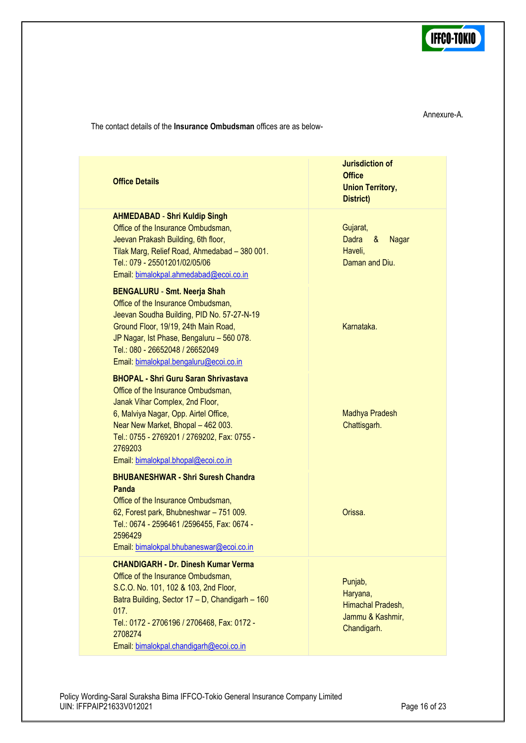

Annexure-A.

The contact details of the **Insurance Ombudsman** offices are as below-

| <b>Office Details</b>                                                                                                                                                                                                                                                                                | <b>Jurisdiction of</b><br><b>Office</b><br><b>Union Territory,</b><br>District) |
|------------------------------------------------------------------------------------------------------------------------------------------------------------------------------------------------------------------------------------------------------------------------------------------------------|---------------------------------------------------------------------------------|
| <b>AHMEDABAD - Shri Kuldip Singh</b><br>Office of the Insurance Ombudsman,<br>Jeevan Prakash Building, 6th floor,<br>Tilak Marg, Relief Road, Ahmedabad - 380 001.<br>Tel.: 079 - 25501201/02/05/06<br>Email: bimalokpal.ahmedabad@ecoi.co.in                                                        | Gujarat,<br>Dadra<br>&<br><b>Nagar</b><br>Haveli,<br>Daman and Diu.             |
| <b>BENGALURU - Smt. Neerja Shah</b><br>Office of the Insurance Ombudsman,<br>Jeevan Soudha Building, PID No. 57-27-N-19<br>Ground Floor, 19/19, 24th Main Road,<br>JP Nagar, Ist Phase, Bengaluru - 560 078.<br>Tel.: 080 - 26652048 / 26652049<br>Email: bimalokpal.bengaluru@ecoi.co.in            | Karnataka.                                                                      |
| <b>BHOPAL - Shri Guru Saran Shrivastava</b><br>Office of the Insurance Ombudsman,<br>Janak Vihar Complex, 2nd Floor,<br>6, Malviya Nagar, Opp. Airtel Office,<br>Near New Market, Bhopal - 462 003.<br>Tel.: 0755 - 2769201 / 2769202, Fax: 0755 -<br>2769203<br>Email: bimalokpal.bhopal@ecoi.co.in | Madhya Pradesh<br>Chattisgarh.                                                  |
| <b>BHUBANESHWAR - Shri Suresh Chandra</b><br><b>Panda</b><br>Office of the Insurance Ombudsman,<br>62, Forest park, Bhubneshwar - 751 009.<br>Tel.: 0674 - 2596461 /2596455, Fax: 0674 -<br>2596429<br>Email: bimalokpal.bhubaneswar@ecoi.co.in                                                      | Orissa.                                                                         |
| <b>CHANDIGARH - Dr. Dinesh Kumar Verma</b><br>Office of the Insurance Ombudsman,<br>S.C.O. No. 101, 102 & 103, 2nd Floor,<br>Batra Building, Sector 17 - D, Chandigarh - 160<br>017.<br>Tel.: 0172 - 2706196 / 2706468, Fax: 0172 -<br>2708274<br>Email: bimalokpal.chandigarh@ecoi.co.in            | Punjab,<br>Haryana,<br>Himachal Pradesh,<br>Jammu & Kashmir,<br>Chandigarh.     |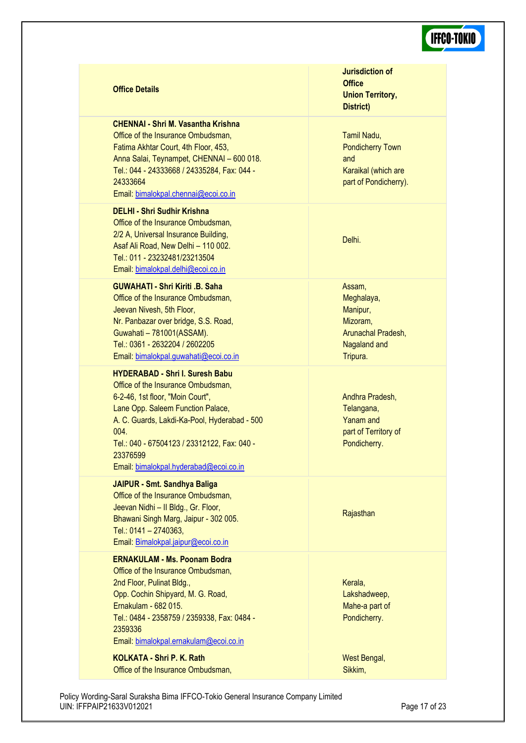#### **Office Details**

#### **CHENNAI - Shri M. Vasantha Krishna**

Office of the Insurance Ombudsman, Fatima Akhtar Court, 4th Floor, 453, Anna Salai, Teynampet, CHENNAI – 600 018. Tel.: 044 - 24333668 / 24335284, Fax: 044 - 24333664 Email: [bimalokpal.chennai@ecoi.co.in](mailto:bimalokpal.chennai@ecoi.co.in)

#### **DELHI - Shri Sudhir Krishna**

Office of the Insurance Ombudsman, 2/2 A, Universal Insurance Building, Asaf Ali Road, New Delhi – 110 002. Tel.: 011 - 23232481/23213504 Email: [bimalokpal.delhi@ecoi.co.in](mailto:bimalokpal.delhi@ecoi.co.in)

### **GUWAHATI - Shri Kiriti .B. Saha**

Office of the Insurance Ombudsman, Jeevan Nivesh, 5th Floor, Nr. Panbazar over bridge, S.S. Road, Guwahati – 781001(ASSAM). Tel.: 0361 - 2632204 / 2602205 Email: [bimalokpal.guwahati@ecoi.co.in](mailto:bimalokpal.guwahati@ecoi.co.in)

#### **HYDERABAD - Shri I. Suresh Babu**

Office of the Insurance Ombudsman, 6-2-46, 1st floor, "Moin Court", Lane Opp. Saleem Function Palace, A. C. Guards, Lakdi-Ka-Pool, Hyderabad - 500  $0<sub>04</sub>$ Tel.: 040 - 67504123 / 23312122, Fax: 040 - 23376599 Email: [bimalokpal.hyderabad@ecoi.co.in](mailto:bimalokpal.hyderabad@ecoi.co.in)

#### **JAIPUR - Smt. Sandhya Baliga**

Office of the Insurance Ombudsman, Jeevan Nidhi – II Bldg., Gr. Floor, Bhawani Singh Marg, Jaipur - 302 005. Tel.: 0141 – 2740363, Email: [Bimalokpal.jaipur@ecoi.co.in](mailto:bimalokpal.jaipur@ecoi.co.in)

#### **ERNAKULAM - Ms. Poonam Bodra**

Office of the Insurance Ombudsman, 2nd Floor, Pulinat Bldg., Opp. Cochin Shipyard, M. G. Road, Ernakulam - 682 015. Tel.: 0484 - 2358759 / 2359338, Fax: 0484 - 2359336 Email: [bimalokpal.ernakulam@ecoi.co.in](mailto:bimalokpal.ernakulam@ecoi.co.in)

**KOLKATA - Shri P. K. Rath** Office of the Insurance Ombudsman, **Jurisdiction of Office Union Territory, District)**

Tamil Nadu, Pondicherry Town and Karaikal (which are part of Pondicherry).

Delhi.

Assam, Meghalaya, Manipur, Mizoram, Arunachal Pradesh, Nagaland and Tripura.

Andhra Pradesh, Telangana, Yanam and part of Territory of Pondicherry.

#### **Rajasthan**

Kerala, Lakshadweep, Mahe-a part of Pondicherry.

West Bengal, Sikkim,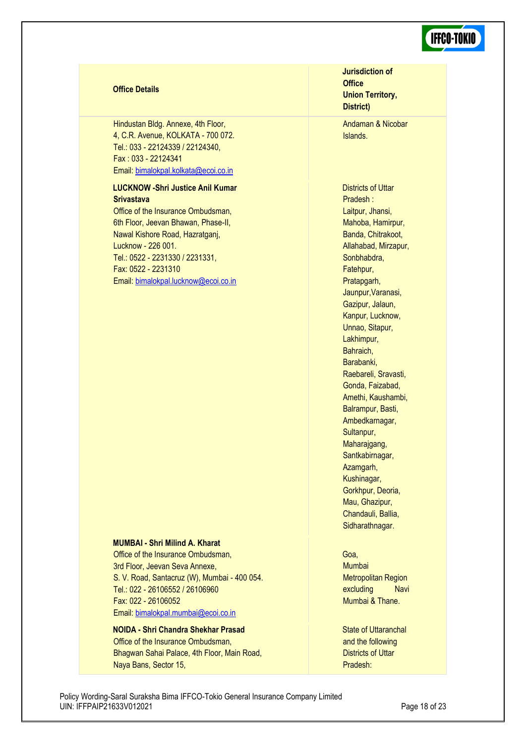#### **Office Details**

Hindustan Bldg. Annexe, 4th Floor, 4, C.R. Avenue, KOLKATA - 700 072. Tel.: 033 - 22124339 / 22124340, Fax : 033 - 22124341 Email: [bimalokpal.kolkata@ecoi.co.in](mailto:bimalokpal.kolkata@ecoi.co.in)

#### **LUCKNOW -Shri Justice Anil Kumar Srivastava**

Office of the Insurance Ombudsman, 6th Floor, Jeevan Bhawan, Phase-II, Nawal Kishore Road, Hazratganj, Lucknow - 226 001. Tel.: 0522 - 2231330 / 2231331, Fax: 0522 - 2231310 Email: [bimalokpal.lucknow@ecoi.co.in](mailto:bimalokpal.lucknow@ecoi.co.in)

#### **MUMBAI - Shri Milind A. Kharat**

Office of the Insurance Ombudsman, 3rd Floor, Jeevan Seva Annexe, S. V. Road, Santacruz (W), Mumbai - 400 054. Tel.: 022 - 26106552 / 26106960 Fax: 022 - 26106052 Email: [bimalokpal.mumbai@ecoi.co.in](mailto:bimalokpal.mumbai@ecoi.co.in)

**NOIDA - Shri Chandra Shekhar Prasad** Office of the Insurance Ombudsman, Bhagwan Sahai Palace, 4th Floor, Main Road, Naya Bans, Sector 15,

**Jurisdiction of Office Union Territory, District)**

Andaman & Nicobar Islands.

Districts of Uttar Pradesh : Laitpur, Jhansi, Mahoba, Hamirpur, Banda, Chitrakoot, Allahabad, Mirzapur, Sonbhabdra, Fatehpur, Pratapgarh, Jaunpur,Varanasi, Gazipur, Jalaun, Kanpur, Lucknow, Unnao, Sitapur, Lakhimpur, Bahraich, Barabanki, Raebareli, Sravasti, Gonda, Faizabad, Amethi, Kaushambi, Balrampur, Basti, Ambedkarnagar, Sultanpur, Maharajgang, Santkabirnagar, Azamgarh, Kushinagar, Gorkhpur, Deoria, Mau, Ghazipur, Chandauli, Ballia, Sidharathnagar.

#### Goa,

Mumbai Metropolitan Region excluding Navi Mumbai & Thane.

State of Uttaranchal and the following Districts of Uttar Pradesh: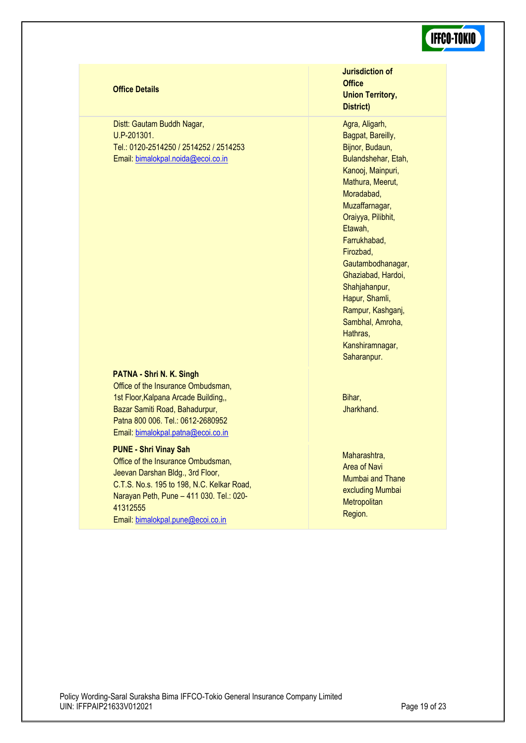| <b>Office Details</b>                                                                                                                                                                                                                             | <b>Jurisdiction of</b><br><b>Office</b><br><b>Union Territory,</b><br><b>District)</b>                                                                                                                                                                                                                                                                                                    |
|---------------------------------------------------------------------------------------------------------------------------------------------------------------------------------------------------------------------------------------------------|-------------------------------------------------------------------------------------------------------------------------------------------------------------------------------------------------------------------------------------------------------------------------------------------------------------------------------------------------------------------------------------------|
| Distt: Gautam Buddh Nagar,<br>U.P-201301.<br>Tel.: 0120-2514250 / 2514252 / 2514253<br>Email: bimalokpal.noida@ecoi.co.in                                                                                                                         | Agra, Aligarh,<br>Bagpat, Bareilly,<br>Bijnor, Budaun,<br>Bulandshehar, Etah,<br>Kanooj, Mainpuri,<br>Mathura, Meerut,<br>Moradabad,<br>Muzaffarnagar,<br>Oraiyya, Pilibhit,<br>Etawah,<br>Farrukhabad,<br>Firozbad,<br>Gautambodhanagar,<br>Ghaziabad, Hardoi,<br>Shahjahanpur,<br>Hapur, Shamli,<br>Rampur, Kashganj,<br>Sambhal, Amroha,<br>Hathras.<br>Kanshiramnagar,<br>Saharanpur. |
| PATNA - Shri N. K. Singh<br>Office of the Insurance Ombudsman,<br>1st Floor, Kalpana Arcade Building,,<br>Bazar Samiti Road, Bahadurpur,<br>Patna 800 006. Tel.: 0612-2680952<br>Email: bimalokpal.patna@ecoi.co.in                               | Bihar,<br>Jharkhand.                                                                                                                                                                                                                                                                                                                                                                      |
| <b>PUNE - Shri Vinay Sah</b><br>Office of the Insurance Ombudsman,<br>Jeevan Darshan Bldg., 3rd Floor,<br>C.T.S. No.s. 195 to 198, N.C. Kelkar Road,<br>Narayan Peth, Pune - 411 030. Tel.: 020-<br>41312555<br>Email: bimalokpal.pune@ecoi.co.in | Maharashtra,<br>Area of Navi<br>Mumbai and Thane<br>excluding Mumbai<br>Metropolitan<br>Region.                                                                                                                                                                                                                                                                                           |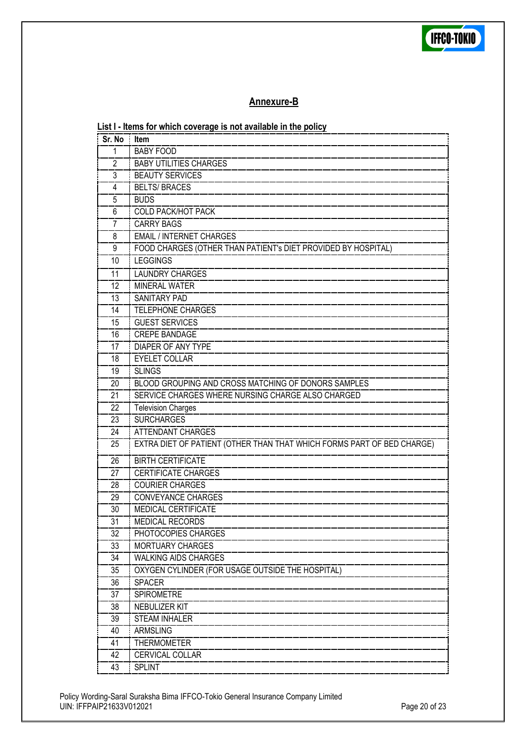

### **Annexure-B**

| Sr. No Item           | List I - Items for which coverage is not available in the policy       |
|-----------------------|------------------------------------------------------------------------|
| 1                     | <b>BABY FOOD</b>                                                       |
| $\mathbf{2}^{\prime}$ | <b>BABY UTILITIES CHARGES</b>                                          |
| 3                     | <b>BEAUTY SERVICES</b>                                                 |
| 4                     | <b>BELTS/BRACES</b>                                                    |
| 5                     | <b>BUDS</b>                                                            |
| 6                     | <b>COLD PACK/HOT PACK</b>                                              |
| 7                     | <b>CARRY BAGS</b>                                                      |
| 8                     | <b>EMAIL / INTERNET CHARGES</b>                                        |
| 9                     | FOOD CHARGES (OTHER THAN PATIENT's DIET PROVIDED BY HOSPITAL)          |
| 10                    | <b>LEGGINGS</b>                                                        |
| 11                    | <b>LAUNDRY CHARGES</b>                                                 |
| 12                    | <b>MINERAL WATER</b>                                                   |
| 13                    | SANITARY PAD                                                           |
| 14                    | <b>TELEPHONE CHARGES</b>                                               |
| 15                    | <b>GUEST SERVICES</b>                                                  |
| 16                    | <b>CREPE BANDAGE</b>                                                   |
| 17                    | DIAPER OF ANY TYPE                                                     |
| 18                    | <b>EYELET COLLAR</b>                                                   |
| 19                    | <b>SLINGS</b>                                                          |
| 20                    | BLOOD GROUPING AND CROSS MATCHING OF DONORS SAMPLES                    |
| 21                    | SERVICE CHARGES WHERE NURSING CHARGE ALSO CHARGED                      |
| 22                    | <b>Television Charges</b>                                              |
| 23                    | <b>SURCHARGES</b>                                                      |
| 24                    | ATTENDANT CHARGES                                                      |
| 25                    | EXTRA DIET OF PATIENT (OTHER THAN THAT WHICH FORMS PART OF BED CHARGE) |
| 26                    | <b>BIRTH CERTIFICATE</b>                                               |
| 27                    | <b>CERTIFICATE CHARGES</b>                                             |
| 28                    | <b>COURIER CHARGES</b>                                                 |
| 29                    | <b>CONVEYANCE CHARGES</b>                                              |
| 30                    | <b>MEDICAL CERTIFICATE</b>                                             |
| 31                    | <b>MEDICAL RECORDS</b>                                                 |
| 32                    | PHOTOCOPIES CHARGES                                                    |
| 33                    | <b>MORTUARY CHARGES</b>                                                |
| 34                    | <b>WALKING AIDS CHARGES</b>                                            |
| 35                    | OXYGEN CYLINDER (FOR USAGE OUTSIDE THE HOSPITAL)                       |
| 36                    | <b>SPACER</b>                                                          |
| 37                    | <b>SPIROMETRE</b>                                                      |
| 38                    | NEBULIZER KIT                                                          |
| 39                    | <b>STEAM INHALER</b>                                                   |
| 40                    | ARMSLING                                                               |
| 41                    | <b>THERMOMETER</b>                                                     |
| 42                    | <b>CERVICAL COLLAR</b>                                                 |
| 43                    | <b>SPLINT</b>                                                          |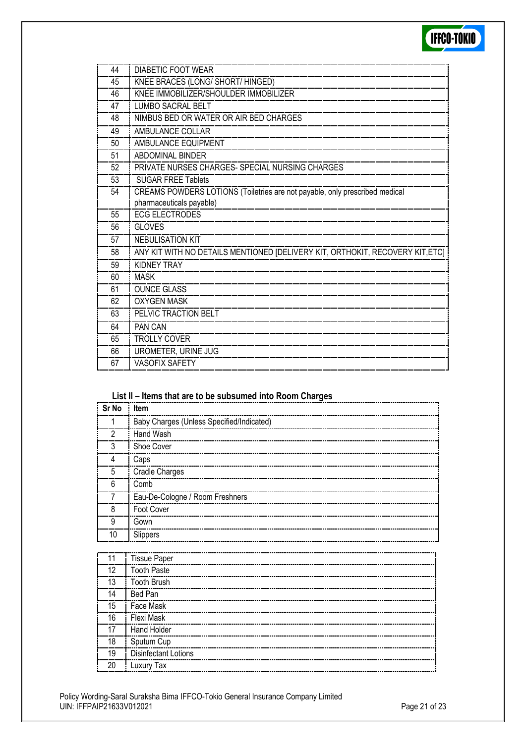

| 44 | DIABETIC FOOT WEAR                                                            |
|----|-------------------------------------------------------------------------------|
| 45 | KNEE BRACES (LONG/ SHORT/ HINGED)                                             |
| 46 | KNEE IMMOBILIZER/SHOULDER IMMOBILIZER                                         |
| 47 | LUMBO SACRAL BELT                                                             |
| 48 | NIMBUS BED OR WATER OR AIR BED CHARGES                                        |
| 49 | AMBULANCE COLLAR                                                              |
| 50 | AMBULANCE EQUIPMENT                                                           |
| 51 | ABDOMINAL BINDER                                                              |
| 52 | PRIVATE NURSES CHARGES- SPECIAL NURSING CHARGES                               |
| 53 | <b>SUGAR FREE Tablets</b>                                                     |
| 54 | CREAMS POWDERS LOTIONS (Toiletries are not payable, only prescribed medical   |
|    | pharmaceuticals payable)                                                      |
| 55 | <b>ECG ELECTRODES</b>                                                         |
| 56 | <b>GLOVES</b>                                                                 |
| 57 | <b>NEBULISATION KIT</b>                                                       |
| 58 | ANY KIT WITH NO DETAILS MENTIONED [DELIVERY KIT, ORTHOKIT, RECOVERY KIT, ETC] |
| 59 | <b>KIDNEY TRAY</b>                                                            |
| 60 | <b>MASK</b>                                                                   |
| 61 | <b>OUNCE GLASS</b>                                                            |
| 62 | <b>OXYGEN MASK</b>                                                            |
| 63 | PELVIC TRACTION BELT                                                          |
| 64 | PAN CAN                                                                       |
| 65 | <b>TROLLY COVER</b>                                                           |
| 66 | UROMETER, URINE JUG                                                           |
| 67 | <b>VASOFIX SAFETY</b>                                                         |

### **List II – Items that are to be subsumed into Room Charges**

| Sr No          | : Item                                    |
|----------------|-------------------------------------------|
|                | Baby Charges (Unless Specified/Indicated) |
| $\mathfrak{p}$ | Hand Wash                                 |
| 3              | Shoe Cover                                |
| 4              | Caps                                      |
| 5              | Cradle Charges                            |
| 6              | Comb                                      |
|                | Eau-De-Cologne / Room Freshners           |
| 8              | Foot Cover                                |
| 9              | Gown                                      |
| 10             | Slippers                                  |

| <b>Tissue Paper</b>         |
|-----------------------------|
| <b>Tooth Paste</b>          |
| <b>Tooth Brush</b>          |
| Bed Pan                     |
| Face Mask                   |
| Flexi Mask                  |
| Hand Holder                 |
| Sputum Cup                  |
| <b>Disinfectant Lotions</b> |
| Luxury Tax                  |
|                             |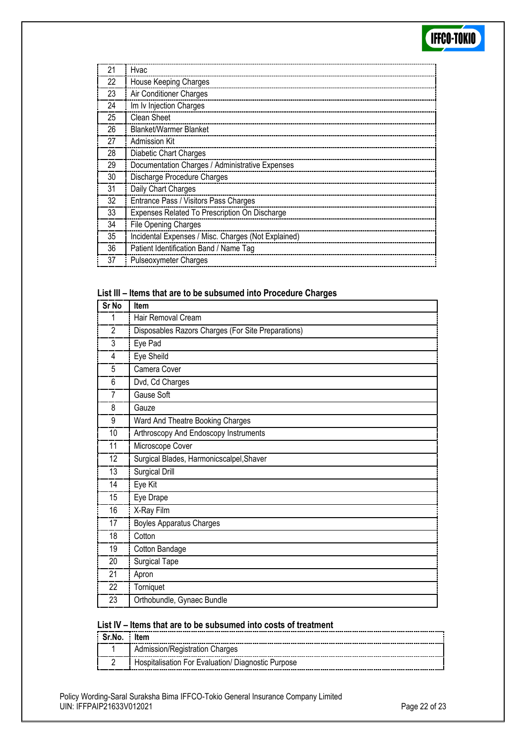| 21 | Hvac                                                |
|----|-----------------------------------------------------|
| 22 | House Keeping Charges                               |
| 23 | Air Conditioner Charges                             |
| 24 | Im Iv Injection Charges                             |
| 25 | Clean Sheet                                         |
| 26 | <b>Blanket/Warmer Blanket</b>                       |
| 27 | Admission Kit                                       |
| 28 | <b>Diabetic Chart Charges</b>                       |
| 29 | Documentation Charges / Administrative Expenses     |
| 30 | Discharge Procedure Charges                         |
| 31 | Daily Chart Charges                                 |
| 32 | Entrance Pass / Visitors Pass Charges               |
| 33 | Expenses Related To Prescription On Discharge       |
| 34 | File Opening Charges                                |
| 35 | Incidental Expenses / Misc. Charges (Not Explained) |
| 36 | Patient Identification Band / Name Tag              |
| 37 | <b>Pulseoxymeter Charges</b>                        |

### **List III – Items that are to be subsumed into Procedure Charges**

| Sr No          | Item                                               |
|----------------|----------------------------------------------------|
|                | Hair Removal Cream                                 |
| $\overline{2}$ | Disposables Razors Charges (For Site Preparations) |
| 3              | Eye Pad                                            |
| 4              | Eye Sheild                                         |
| 5              | Camera Cover                                       |
| 6              | Dvd, Cd Charges                                    |
| 7              | Gause Soft                                         |
| 8              | Gauze                                              |
| 9              | Ward And Theatre Booking Charges                   |
| 10             | Arthroscopy And Endoscopy Instruments              |
| 11             | Microscope Cover                                   |
| 12             | Surgical Blades, Harmonicscalpel, Shaver           |
| 13             | Surgical Drill                                     |
| 14             | Eye Kit                                            |
| 15             | Eye Drape                                          |
| 16             | X-Ray Film                                         |
| 17             | <b>Boyles Apparatus Charges</b>                    |
| 18             | Cotton                                             |
| 19             | Cotton Bandage                                     |
| 20             | Surgical Tape                                      |
| 21             | Apron                                              |
| 22             | Torniquet                                          |
| 23             | Orthobundle, Gynaec Bundle                         |

### **List IV – Items that are to be subsumed into costs of treatment**

| Sr.No. Item |                                                    |  |
|-------------|----------------------------------------------------|--|
|             | Admission/Registration Charges                     |  |
|             | Hospitalisation For Evaluation/ Diagnostic Purpose |  |